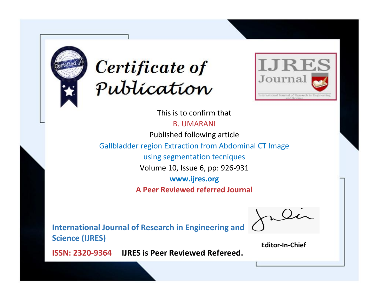



This is to confirm that

B. UMARANI

Published following article

Gallbladder region Extraction from Abdominal CT Image

using segmentation tecniques

Volume 10, Issue 6, pp: 926-931

**www.ijres.org**

**A Peer Reviewed referred Journal**

**International Journal of Research in Engineering and Science (IJRES)**

\_\_\_\_\_\_\_\_\_\_\_\_\_\_\_\_\_\_\_\_\_\_\_\_ **Editor-In-Chief**

**Journal.**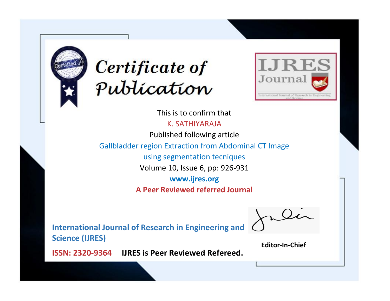



This is to confirm that

K. SATHIYARAJA

Published following article

Gallbladder region Extraction from Abdominal CT Image

using segmentation tecniques

Volume 10, Issue 6, pp: 926-931

**www.ijres.org**

**A Peer Reviewed referred Journal**

**International Journal of Research in Engineering and Science (IJRES)**

\_\_\_\_\_\_\_\_\_\_\_\_\_\_\_\_\_\_\_\_\_\_\_\_ **Editor-In-Chief**

**Journal.**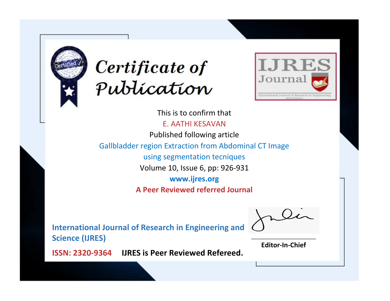



This is to confirm that E. AATHI KESAVAN Published following article Gallbladder region Extraction from Abdominal CT Image using segmentation tecniques Volume 10, Issue 6, pp: 926-931 **www.ijres.org A Peer Reviewed referred Journal**

**International Journal of Research in Engineering and Science (IJRES)**

\_\_\_\_\_\_\_\_\_\_\_\_\_\_\_\_\_\_\_\_\_\_\_\_ **Editor-In-Chief**

**Journal.**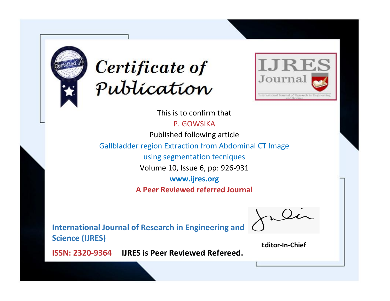



This is to confirm that

P. GOWSIKA

Published following article

Gallbladder region Extraction from Abdominal CT Image

using segmentation tecniques

Volume 10, Issue 6, pp: 926-931

**www.ijres.org**

**A Peer Reviewed referred Journal**

**International Journal of Research in Engineering and Science (IJRES)**

\_\_\_\_\_\_\_\_\_\_\_\_\_\_\_\_\_\_\_\_\_\_\_\_ **Editor-In-Chief**

**Journal.**